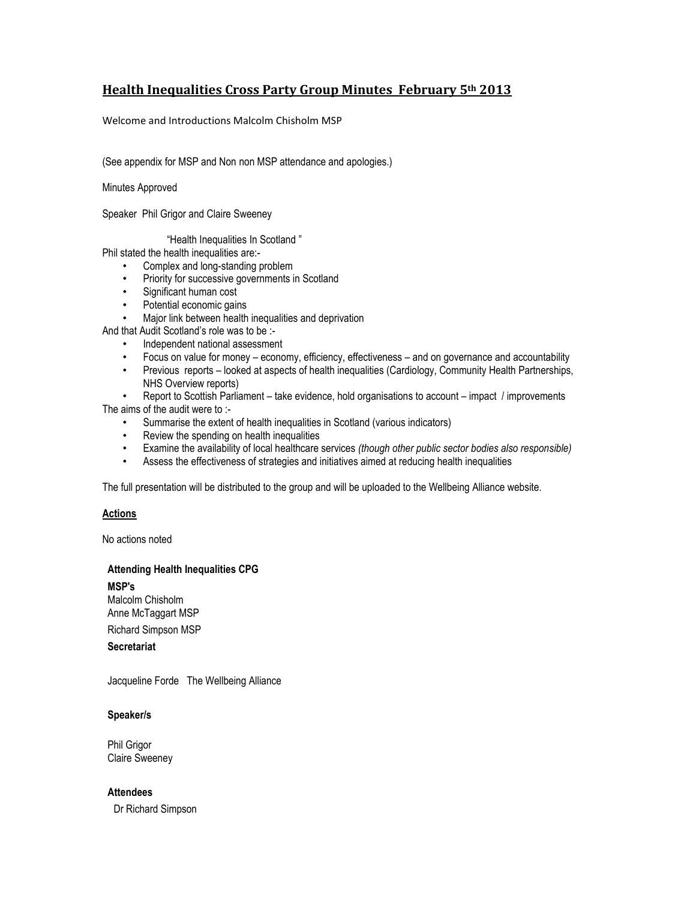# **Health Inequalities Cross Party Group Minutes February 5th 2013**

Welcome and Introductions Malcolm Chisholm MSP

(See appendix for MSP and Non non MSP attendance and apologies.)

Minutes Approved

Speaker Phil Grigor and Claire Sweeney

"Health Inequalities In Scotland "

Phil stated the health inequalities are:-

- Complex and long-standing problem
- Priority for successive governments in Scotland
- Significant human cost
- Potential economic gains
- Major link between health inequalities and deprivation
- And that Audit Scotland's role was to be :-
	- Independent national assessment
	- Focus on value for money economy, efficiency, effectiveness and on governance and accountability
	- Previous reports looked at aspects of health inequalities (Cardiology, Community Health Partnerships, NHS Overview reports)
- Report to Scottish Parliament take evidence, hold organisations to account impact / improvements The aims of the audit were to :-
	- Summarise the extent of health inequalities in Scotland (various indicators)
	- Review the spending on health inequalities
	- Examine the availability of local healthcare services *(though other public sector bodies also responsible)*
	- Assess the effectiveness of strategies and initiatives aimed at reducing health inequalities

The full presentation will be distributed to the group and will be uploaded to the Wellbeing Alliance website.

### **Actions**

No actions noted

### **Attending Health Inequalities CPG**

**MSP's**

Malcolm Chisholm Anne McTaggart MSP

Richard Simpson MSP

**Secretariat**

Jacqueline Forde The Wellbeing Alliance

### **Speaker/s**

Phil Grigor Claire Sweeney

**Attendees**

Dr Richard Simpson